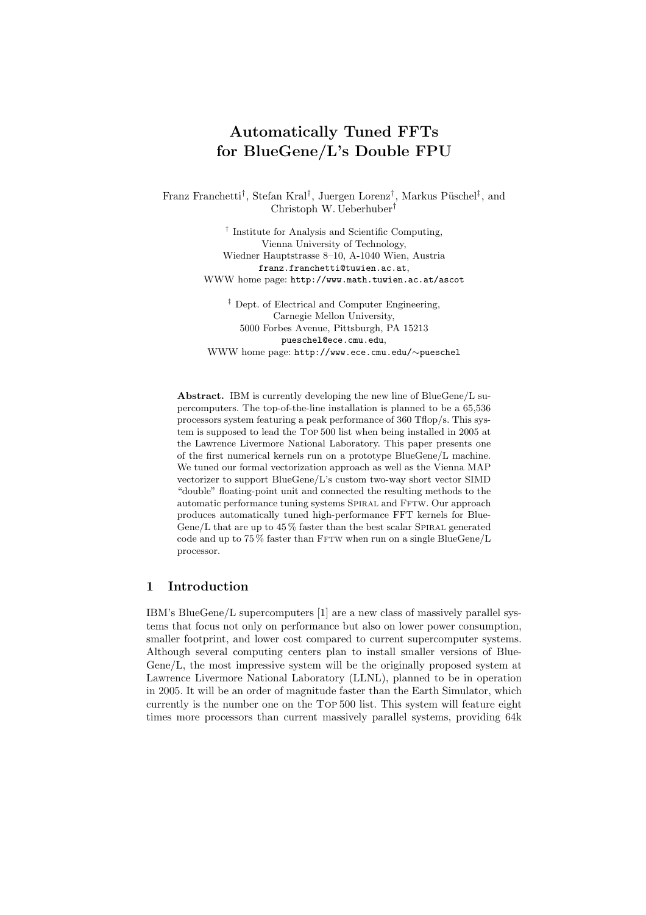# Automatically Tuned FFTs for BlueGene/L's Double FPU

Franz Franchetti<sup>†</sup>, Stefan Kral<sup>†</sup>, Juergen Lorenz<sup>†</sup>, Markus Püschel<sup>‡</sup>, and Christoph W. Ueberhuber†

> † Institute for Analysis and Scientific Computing, Vienna University of Technology, Wiedner Hauptstrasse 8–10, A-1040 Wien, Austria franz.franchetti@tuwien.ac.at, WWW home page: http://www.math.tuwien.ac.at/ascot

<sup>‡</sup> Dept. of Electrical and Computer Engineering, Carnegie Mellon University, 5000 Forbes Avenue, Pittsburgh, PA 15213 pueschel@ece.cmu.edu, WWW home page: http://www.ece.cmu.edu/∼pueschel

Abstract. IBM is currently developing the new line of BlueGene/L supercomputers. The top-of-the-line installation is planned to be a 65,536 processors system featuring a peak performance of 360 Tflop/s. This system is supposed to lead the Top 500 list when being installed in 2005 at the Lawrence Livermore National Laboratory. This paper presents one of the first numerical kernels run on a prototype BlueGene/L machine. We tuned our formal vectorization approach as well as the Vienna MAP vectorizer to support BlueGene/L's custom two-way short vector SIMD "double" floating-point unit and connected the resulting methods to the automatic performance tuning systems SPIRAL and FFTW. Our approach produces automatically tuned high-performance FFT kernels for Blue-Gene/L that are up to  $45\%$  faster than the best scalar SPIRAL generated code and up to  $75\%$  faster than FFTW when run on a single BlueGene/L processor.

# 1 Introduction

IBM's BlueGene/L supercomputers [1] are a new class of massively parallel systems that focus not only on performance but also on lower power consumption, smaller footprint, and lower cost compared to current supercomputer systems. Although several computing centers plan to install smaller versions of Blue-Gene/L, the most impressive system will be the originally proposed system at Lawrence Livermore National Laboratory (LLNL), planned to be in operation in 2005. It will be an order of magnitude faster than the Earth Simulator, which currently is the number one on the Top 500 list. This system will feature eight times more processors than current massively parallel systems, providing 64k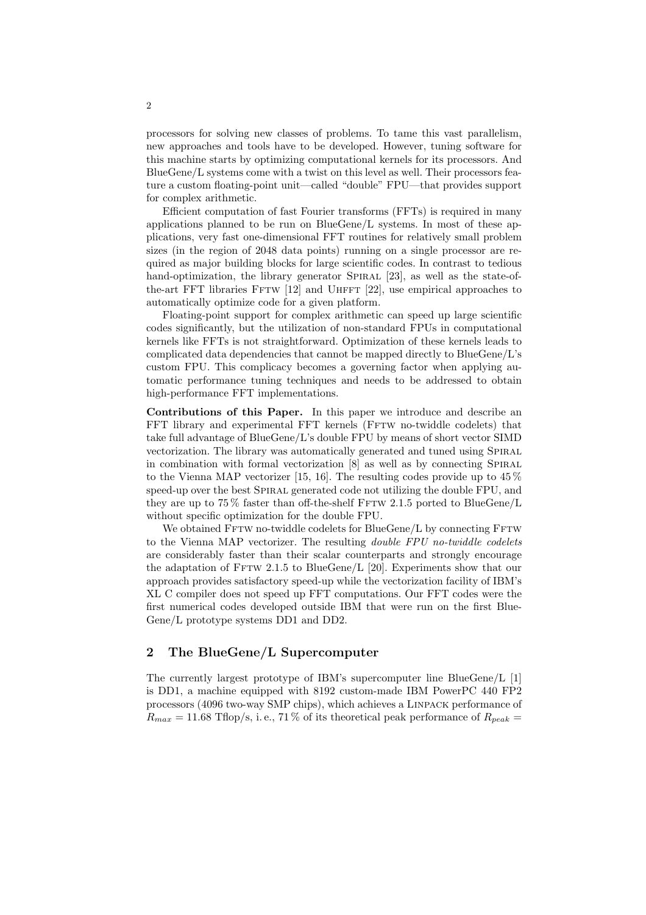processors for solving new classes of problems. To tame this vast parallelism, new approaches and tools have to be developed. However, tuning software for this machine starts by optimizing computational kernels for its processors. And BlueGene/L systems come with a twist on this level as well. Their processors feature a custom floating-point unit—called "double" FPU—that provides support for complex arithmetic.

Efficient computation of fast Fourier transforms (FFTs) is required in many applications planned to be run on BlueGene/L systems. In most of these applications, very fast one-dimensional FFT routines for relatively small problem sizes (in the region of 2048 data points) running on a single processor are required as major building blocks for large scientific codes. In contrast to tedious hand-optimization, the library generator SPIRAL [23], as well as the state-ofthe-art FFT libraries FFTW  $[12]$  and UHFFT  $[22]$ , use empirical approaches to automatically optimize code for a given platform.

Floating-point support for complex arithmetic can speed up large scientific codes significantly, but the utilization of non-standard FPUs in computational kernels like FFTs is not straightforward. Optimization of these kernels leads to complicated data dependencies that cannot be mapped directly to BlueGene/L's custom FPU. This complicacy becomes a governing factor when applying automatic performance tuning techniques and needs to be addressed to obtain high-performance FFT implementations.

Contributions of this Paper. In this paper we introduce and describe an FFT library and experimental FFT kernels (FFTW no-twiddle codelets) that take full advantage of BlueGene/L's double FPU by means of short vector SIMD vectorization. The library was automatically generated and tuned using Spiral in combination with formal vectorization [8] as well as by connecting SPIRAL to the Vienna MAP vectorizer [15, 16]. The resulting codes provide up to  $45\%$ speed-up over the best SPIRAL generated code not utilizing the double FPU, and they are up to  $75\%$  faster than off-the-shelf FFTW 2.1.5 ported to BlueGene/L without specific optimization for the double FPU.

We obtained FFTW no-twiddle codelets for BlueGene/L by connecting FFTW to the Vienna MAP vectorizer. The resulting *double FPU no-twiddle codelets* are considerably faster than their scalar counterparts and strongly encourage the adaptation of FFTW 2.1.5 to BlueGene/L [20]. Experiments show that our approach provides satisfactory speed-up while the vectorization facility of IBM's XL C compiler does not speed up FFT computations. Our FFT codes were the first numerical codes developed outside IBM that were run on the first Blue-Gene/L prototype systems DD1 and DD2.

## 2 The BlueGene/L Supercomputer

The currently largest prototype of IBM's supercomputer line BlueGene/L [1] is DD1, a machine equipped with 8192 custom-made IBM PowerPC 440 FP2 processors (4096 two-way SMP chips), which achieves a Linpack performance of  $R_{max} = 11.68$  Tflop/s, i.e., 71% of its theoretical peak performance of  $R_{peak} =$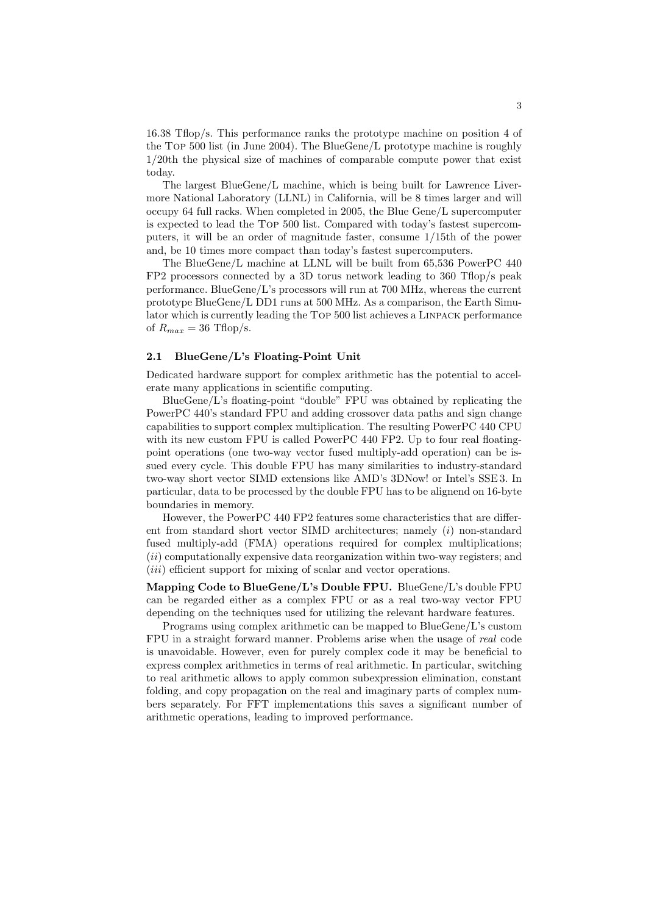16.38 Tflop/s. This performance ranks the prototype machine on position 4 of the Top 500 list (in June 2004). The BlueGene/L prototype machine is roughly 1/20th the physical size of machines of comparable compute power that exist today.

The largest BlueGene/L machine, which is being built for Lawrence Livermore National Laboratory (LLNL) in California, will be 8 times larger and will occupy 64 full racks. When completed in 2005, the Blue Gene/L supercomputer is expected to lead the Top 500 list. Compared with today's fastest supercomputers, it will be an order of magnitude faster, consume 1/15th of the power and, be 10 times more compact than today's fastest supercomputers.

The BlueGene/L machine at LLNL will be built from 65,536 PowerPC 440 FP2 processors connected by a 3D torus network leading to 360 Tflop/s peak performance. BlueGene/L's processors will run at 700 MHz, whereas the current prototype BlueGene/L DD1 runs at 500 MHz. As a comparison, the Earth Simulator which is currently leading the Top 500 list achieves a Linpack performance of  $R_{max} = 36$  Tflop/s.

#### 2.1 BlueGene/L's Floating-Point Unit

Dedicated hardware support for complex arithmetic has the potential to accelerate many applications in scientific computing.

BlueGene/L's floating-point "double" FPU was obtained by replicating the PowerPC 440's standard FPU and adding crossover data paths and sign change capabilities to support complex multiplication. The resulting PowerPC 440 CPU with its new custom FPU is called PowerPC 440 FP2. Up to four real floatingpoint operations (one two-way vector fused multiply-add operation) can be issued every cycle. This double FPU has many similarities to industry-standard two-way short vector SIMD extensions like AMD's 3DNow! or Intel's SSE 3. In particular, data to be processed by the double FPU has to be alignend on 16-byte boundaries in memory.

However, the PowerPC 440 FP2 features some characteristics that are different from standard short vector SIMD architectures; namely (i) non-standard fused multiply-add (FMA) operations required for complex multiplications; (ii) computationally expensive data reorganization within two-way registers; and (*iii*) efficient support for mixing of scalar and vector operations.

Mapping Code to BlueGene/L's Double FPU. BlueGene/L's double FPU can be regarded either as a complex FPU or as a real two-way vector FPU depending on the techniques used for utilizing the relevant hardware features.

Programs using complex arithmetic can be mapped to BlueGene/L's custom FPU in a straight forward manner. Problems arise when the usage of real code is unavoidable. However, even for purely complex code it may be beneficial to express complex arithmetics in terms of real arithmetic. In particular, switching to real arithmetic allows to apply common subexpression elimination, constant folding, and copy propagation on the real and imaginary parts of complex numbers separately. For FFT implementations this saves a significant number of arithmetic operations, leading to improved performance.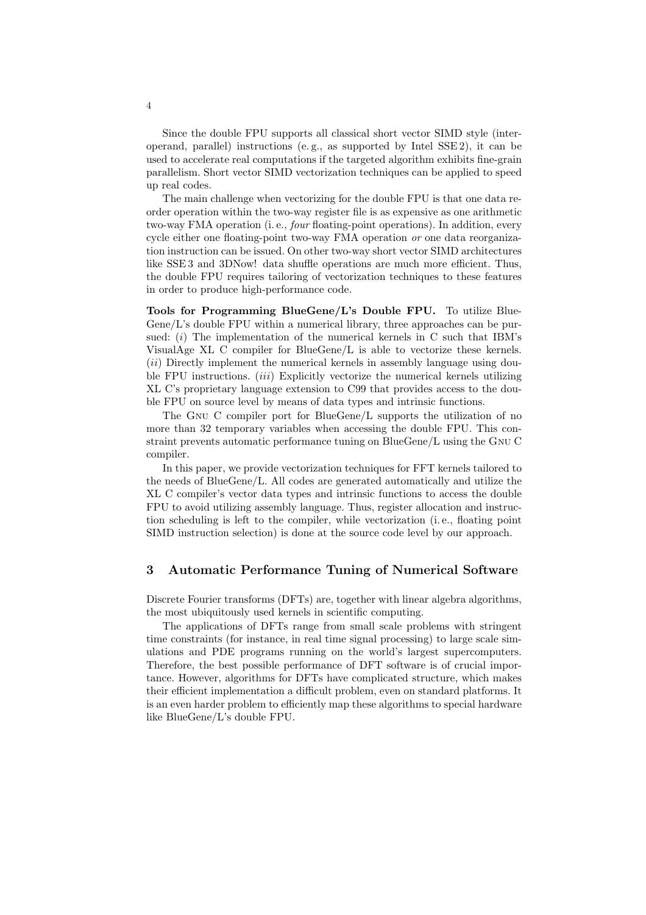Since the double FPU supports all classical short vector SIMD style (interoperand, parallel) instructions (e.g., as supported by Intel  $SSE 2$ ), it can be used to accelerate real computations if the targeted algorithm exhibits fine-grain parallelism. Short vector SIMD vectorization techniques can be applied to speed up real codes.

The main challenge when vectorizing for the double FPU is that one data reorder operation within the two-way register file is as expensive as one arithmetic two-way FMA operation (i. e., four floating-point operations). In addition, every cycle either one floating-point two-way FMA operation or one data reorganization instruction can be issued. On other two-way short vector SIMD architectures like SSE 3 and 3DNow! data shuffle operations are much more efficient. Thus, the double FPU requires tailoring of vectorization techniques to these features in order to produce high-performance code.

Tools for Programming BlueGene/L's Double FPU. To utilize Blue-Gene/L's double FPU within a numerical library, three approaches can be pursued:  $(i)$  The implementation of the numerical kernels in C such that IBM's VisualAge XL C compiler for BlueGene/L is able to vectorize these kernels.  $(ii)$  Directly implement the numerical kernels in assembly language using double FPU instructions. *(iii)* Explicitly vectorize the numerical kernels utilizing XL C's proprietary language extension to C99 that provides access to the double FPU on source level by means of data types and intrinsic functions.

The Gnu C compiler port for BlueGene/L supports the utilization of no more than 32 temporary variables when accessing the double FPU. This constraint prevents automatic performance tuning on BlueGene/L using the Gnu C compiler.

In this paper, we provide vectorization techniques for FFT kernels tailored to the needs of BlueGene/L. All codes are generated automatically and utilize the XL C compiler's vector data types and intrinsic functions to access the double FPU to avoid utilizing assembly language. Thus, register allocation and instruction scheduling is left to the compiler, while vectorization (i. e., floating point SIMD instruction selection) is done at the source code level by our approach.

## 3 Automatic Performance Tuning of Numerical Software

Discrete Fourier transforms (DFTs) are, together with linear algebra algorithms, the most ubiquitously used kernels in scientific computing.

The applications of DFTs range from small scale problems with stringent time constraints (for instance, in real time signal processing) to large scale simulations and PDE programs running on the world's largest supercomputers. Therefore, the best possible performance of DFT software is of crucial importance. However, algorithms for DFTs have complicated structure, which makes their efficient implementation a difficult problem, even on standard platforms. It is an even harder problem to efficiently map these algorithms to special hardware like BlueGene/L's double FPU.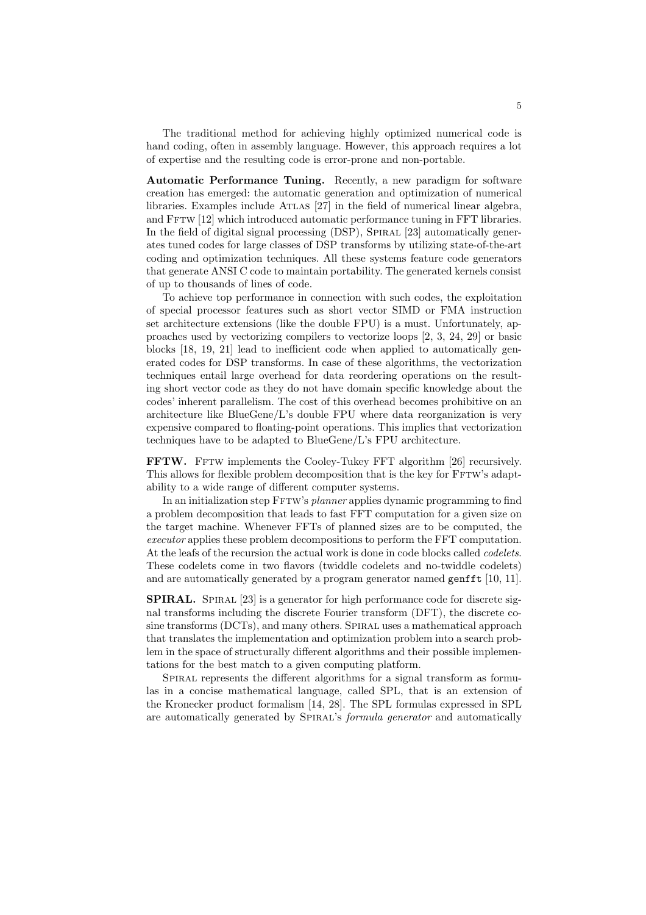The traditional method for achieving highly optimized numerical code is hand coding, often in assembly language. However, this approach requires a lot of expertise and the resulting code is error-prone and non-portable.

Automatic Performance Tuning. Recently, a new paradigm for software creation has emerged: the automatic generation and optimization of numerical libraries. Examples include Atlas [27] in the field of numerical linear algebra, and FFTW [12] which introduced automatic performance tuning in FFT libraries. In the field of digital signal processing (DSP), SPIRAL [23] automatically generates tuned codes for large classes of DSP transforms by utilizing state-of-the-art coding and optimization techniques. All these systems feature code generators that generate ANSI C code to maintain portability. The generated kernels consist of up to thousands of lines of code.

To achieve top performance in connection with such codes, the exploitation of special processor features such as short vector SIMD or FMA instruction set architecture extensions (like the double FPU) is a must. Unfortunately, approaches used by vectorizing compilers to vectorize loops [2, 3, 24, 29] or basic blocks [18, 19, 21] lead to inefficient code when applied to automatically generated codes for DSP transforms. In case of these algorithms, the vectorization techniques entail large overhead for data reordering operations on the resulting short vector code as they do not have domain specific knowledge about the codes' inherent parallelism. The cost of this overhead becomes prohibitive on an architecture like  $BlueGene/L$ 's double  $FPU$  where data reorganization is very expensive compared to floating-point operations. This implies that vectorization techniques have to be adapted to BlueGene/L's FPU architecture.

FFTW. FFTW implements the Cooley-Tukey FFT algorithm [26] recursively. This allows for flexible problem decomposition that is the key for FFTW's adaptability to a wide range of different computer systems.

In an initialization step FFTW's planner applies dynamic programming to find a problem decomposition that leads to fast FFT computation for a given size on the target machine. Whenever FFTs of planned sizes are to be computed, the executor applies these problem decompositions to perform the FFT computation. At the leafs of the recursion the actual work is done in code blocks called codelets. These codelets come in two flavors (twiddle codelets and no-twiddle codelets) and are automatically generated by a program generator named generation [10, 11].

SPIRAL. SPIRAL [23] is a generator for high performance code for discrete signal transforms including the discrete Fourier transform (DFT), the discrete cosine transforms (DCTs), and many others. SPIRAL uses a mathematical approach that translates the implementation and optimization problem into a search problem in the space of structurally different algorithms and their possible implementations for the best match to a given computing platform.

SPIRAL represents the different algorithms for a signal transform as formulas in a concise mathematical language, called SPL, that is an extension of the Kronecker product formalism [14, 28]. The SPL formulas expressed in SPL are automatically generated by SPIRAL's *formula generator* and automatically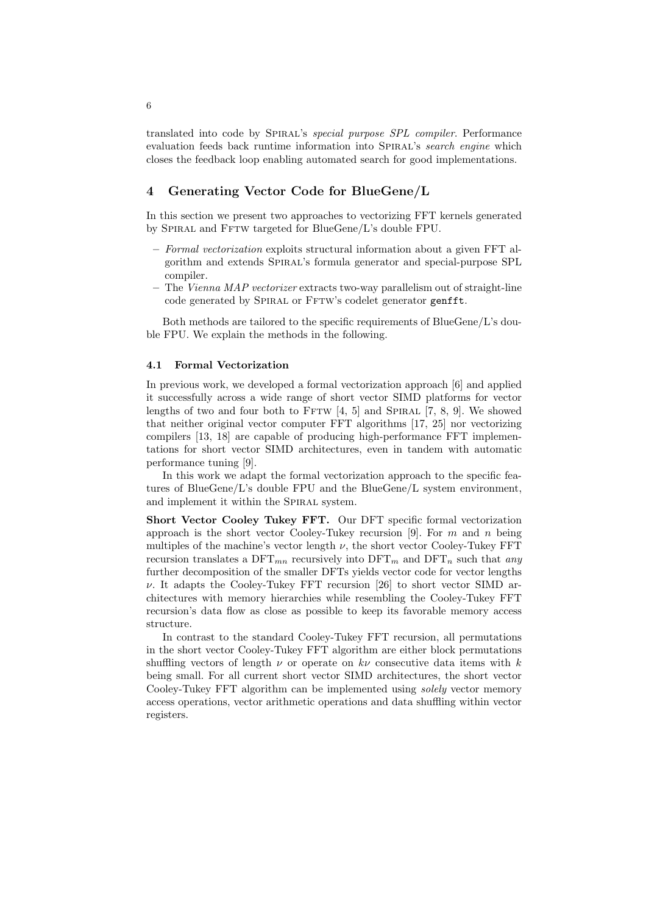translated into code by Spiral's special purpose SPL compiler. Performance evaluation feeds back runtime information into SPIRAL's search engine which closes the feedback loop enabling automated search for good implementations.

# 4 Generating Vector Code for BlueGene/L

In this section we present two approaches to vectorizing FFT kernels generated by SPIRAL and FFTW targeted for BlueGene/L's double FPU.

- Formal vectorization exploits structural information about a given FFT algorithm and extends Spiral's formula generator and special-purpose SPL compiler.
- The Vienna MAP vectorizer extracts two-way parallelism out of straight-line code generated by SPIRAL or FFTW's codelet generator genfft.

Both methods are tailored to the specific requirements of BlueGene/L's double FPU. We explain the methods in the following.

#### 4.1 Formal Vectorization

In previous work, we developed a formal vectorization approach [6] and applied it successfully across a wide range of short vector SIMD platforms for vector lengths of two and four both to  $FFTW$  [4, 5] and SPIRAL [7, 8, 9]. We showed that neither original vector computer FFT algorithms [17, 25] nor vectorizing compilers [13, 18] are capable of producing high-performance FFT implementations for short vector SIMD architectures, even in tandem with automatic performance tuning [9].

In this work we adapt the formal vectorization approach to the specific features of BlueGene/L's double FPU and the BlueGene/L system environment, and implement it within the SPIRAL system.

Short Vector Cooley Tukey FFT. Our DFT specific formal vectorization approach is the short vector Cooley-Tukey recursion [9]. For m and n being multiples of the machine's vector length  $\nu$ , the short vector Cooley-Tukey FFT recursion translates a DFT<sub>mn</sub> recursively into DFT<sub>m</sub> and DFT<sub>n</sub> such that any further decomposition of the smaller DFTs yields vector code for vector lengths  $\nu$ . It adapts the Cooley-Tukey FFT recursion [26] to short vector SIMD architectures with memory hierarchies while resembling the Cooley-Tukey FFT recursion's data flow as close as possible to keep its favorable memory access structure.

In contrast to the standard Cooley-Tukey FFT recursion, all permutations in the short vector Cooley-Tukey FFT algorithm are either block permutations shuffling vectors of length  $\nu$  or operate on  $k\nu$  consecutive data items with k being small. For all current short vector SIMD architectures, the short vector Cooley-Tukey FFT algorithm can be implemented using solely vector memory access operations, vector arithmetic operations and data shuffling within vector registers.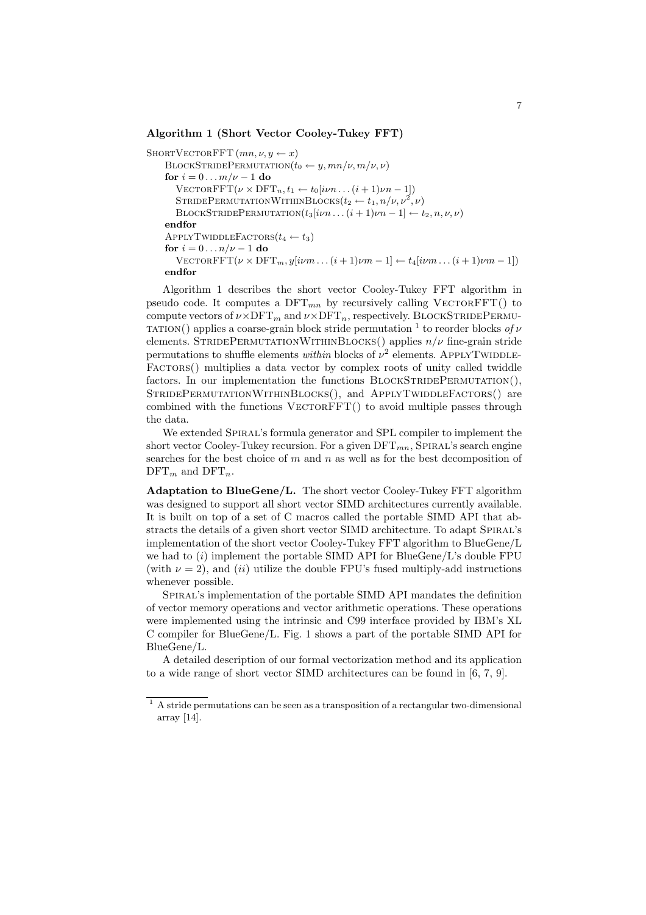#### Algorithm 1 (Short Vector Cooley-Tukey FFT)

SHORTVECTORFFT  $(mn, \nu, y \leftarrow x)$ BLOCKSTRIDEPERMUTATION $(t_0 \leftarrow y, mn/\nu, m/\nu, \nu)$ for  $i = 0 \ldots m/\nu - 1$  do  $V_{\text{ECTORFFT}}(\nu \times \text{DFT}_n, t_1 \leftarrow t_0[i\nu n \dots (i+1)\nu n-1])$ STRIDEPERMUTATIONWITHINBLOCKS $(t_2 \leftarrow t_1, n/\nu, \nu^2, \nu)$ BLOCKSTRIDEPERMUTATION $(t_3[i\nu n \dots (i+1)\nu n-1] \leftarrow t_2, n, \nu, \nu)$ endfor APPLYTWIDDLEFACTORS $(t_4 \leftarrow t_3)$ for  $i = 0 \dots n/\nu - 1$  do  $\text{VECTORFFT}(v \times \text{DFT}_m, y|ivm \dots (i+1)vm - 1] \leftarrow t_4[ivm \dots (i+1)vm - 1]$ endfor

Algorithm 1 describes the short vector Cooley-Tukey FFT algorithm in pseudo code. It computes a  $DFT_{mn}$  by recursively calling VECTORFFT() to compute vectors of  $\nu \times \mathrm{DFT}_m$  and  $\nu \times \mathrm{DFT}_n$ , respectively. BLOCKSTRIDEPERMU-TATION() applies a coarse-grain block stride permutation <sup>1</sup> to reorder blocks of  $\nu$ elements. STRIDEPERMUTATIONWITHINBLOCKS() applies  $n/\nu$  fine-grain stride permutations to shuffle elements within blocks of  $\nu^2$  elements. APPLYTWIDDLE-FACTORS() multiplies a data vector by complex roots of unity called twiddle factors. In our implementation the functions  $B$ LOCKSTRIDEPERMUTATION $($ ), STRIDEPERMUTATIONWITHINBLOCKS(), and APPLYTWIDDLEFACTORS() are combined with the functions  $VECTORFFT()$  to avoid multiple passes through the data.

We extended SPIRAL's formula generator and SPL compiler to implement the short vector Cooley-Tukey recursion. For a given  $\text{DFT}_{mn}$ , SPIRAL's search engine searches for the best choice of  $m$  and  $n$  as well as for the best decomposition of  $DFT_m$  and  $DFT_n$ .

Adaptation to BlueGene/L. The short vector Cooley-Tukey FFT algorithm was designed to support all short vector SIMD architectures currently available. It is built on top of a set of C macros called the portable SIMD API that abstracts the details of a given short vector SIMD architecture. To adapt Spiral's implementation of the short vector Cooley-Tukey FFT algorithm to BlueGene/L we had to  $(i)$  implement the portable SIMD API for BlueGene/L's double FPU (with  $\nu = 2$ ), and *(ii)* utilize the double FPU's fused multiply-add instructions whenever possible.

Spiral's implementation of the portable SIMD API mandates the definition of vector memory operations and vector arithmetic operations. These operations were implemented using the intrinsic and C99 interface provided by IBM's XL C compiler for BlueGene/L. Fig. 1 shows a part of the portable SIMD API for BlueGene/L.

A detailed description of our formal vectorization method and its application to a wide range of short vector SIMD architectures can be found in [6, 7, 9].

 $1 A$  stride permutations can be seen as a transposition of a rectangular two-dimensional array [14].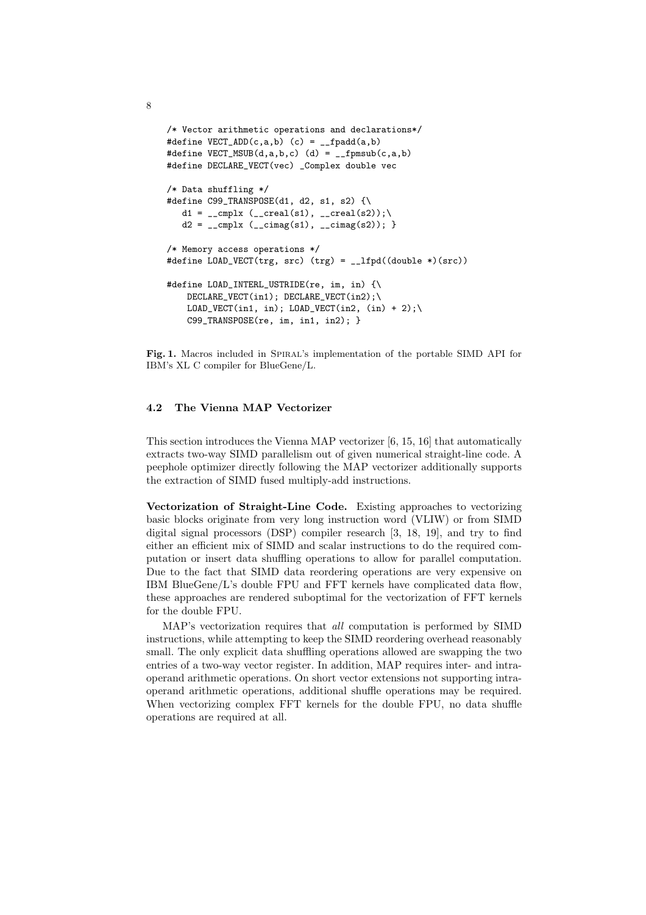```
/* Vector arithmetic operations and declarations*/
#define VECT_ADD(c,a,b) (c) = __fpadd(a,b)
#define VECT_MSUB(d,a,b,c) (d) = __fpmsub(c,a,b)
#define DECLARE_VECT(vec) _Complex double vec
/* Data shuffling */
#define C99_TRANSPOSE(d1, d2, s1, s2) {\
   d1 = \text{\_cmplx} (\text{\_creal}(s1), \text{\_creal}(s2));d2 = -cmplx (-cimag(s1), -cimag(s2)); }
/* Memory access operations */
#define LOAD_VECT(trg, src) (trg) = __lfpd((double *)(src))
#define LOAD_INTERL_USTRIDE(re, im, in) {\
    DECLARE VECT(jn1); DECLARE VECT(jn2);
    LOAD_VECT(in1, in); LOAD_VECT(in2, (in) + 2);\
    C99_TRANSPOSE(re, im, in1, in2); }
```
Fig. 1. Macros included in Spiral's implementation of the portable SIMD API for IBM's XL C compiler for BlueGene/L.

#### 4.2 The Vienna MAP Vectorizer

This section introduces the Vienna MAP vectorizer [6, 15, 16] that automatically extracts two-way SIMD parallelism out of given numerical straight-line code. A peephole optimizer directly following the MAP vectorizer additionally supports the extraction of SIMD fused multiply-add instructions.

Vectorization of Straight-Line Code. Existing approaches to vectorizing basic blocks originate from very long instruction word (VLIW) or from SIMD digital signal processors (DSP) compiler research [3, 18, 19], and try to find either an efficient mix of SIMD and scalar instructions to do the required computation or insert data shuffling operations to allow for parallel computation. Due to the fact that SIMD data reordering operations are very expensive on IBM BlueGene/L's double FPU and FFT kernels have complicated data flow, these approaches are rendered suboptimal for the vectorization of FFT kernels for the double FPU.

MAP's vectorization requires that all computation is performed by SIMD instructions, while attempting to keep the SIMD reordering overhead reasonably small. The only explicit data shuffling operations allowed are swapping the two entries of a two-way vector register. In addition, MAP requires inter- and intraoperand arithmetic operations. On short vector extensions not supporting intraoperand arithmetic operations, additional shuffle operations may be required. When vectorizing complex FFT kernels for the double FPU, no data shuffle operations are required at all.

8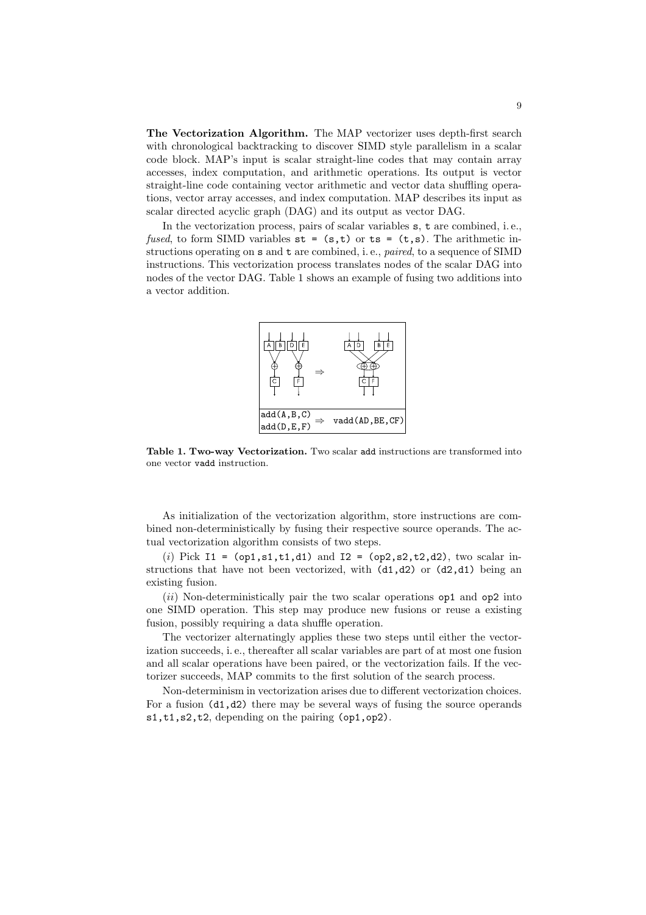The Vectorization Algorithm. The MAP vectorizer uses depth-first search with chronological backtracking to discover SIMD style parallelism in a scalar code block. MAP's input is scalar straight-line codes that may contain array accesses, index computation, and arithmetic operations. Its output is vector straight-line code containing vector arithmetic and vector data shuffling operations, vector array accesses, and index computation. MAP describes its input as scalar directed acyclic graph (DAG) and its output as vector DAG.

In the vectorization process, pairs of scalar variables s, t are combined, i. e., fused, to form SIMD variables  $st = (s,t)$  or  $ts = (t,s)$ . The arithmetic instructions operating on s and t are combined, i.e., *paired*, to a sequence of SIMD instructions. This vectorization process translates nodes of the scalar DAG into nodes of the vector DAG. Table 1 shows an example of fusing two additions into a vector addition.



Table 1. Two-way Vectorization. Two scalar add instructions are transformed into one vector vadd instruction.

As initialization of the vectorization algorithm, store instructions are combined non-deterministically by fusing their respective source operands. The actual vectorization algorithm consists of two steps.

(i) Pick  $I1 = (op1, s1, t1, d1)$  and  $I2 = (op2, s2, t2, d2)$ , two scalar instructions that have not been vectorized, with  $(d1, d2)$  or  $(d2, d1)$  being an existing fusion.

 $(ii)$  Non-deterministically pair the two scalar operations op1 and op2 into one SIMD operation. This step may produce new fusions or reuse a existing fusion, possibly requiring a data shuffle operation.

The vectorizer alternatingly applies these two steps until either the vectorization succeeds, i. e., thereafter all scalar variables are part of at most one fusion and all scalar operations have been paired, or the vectorization fails. If the vectorizer succeeds, MAP commits to the first solution of the search process.

Non-determinism in vectorization arises due to different vectorization choices. For a fusion  $(d1, d2)$  there may be several ways of fusing the source operands s1,t1,s2,t2, depending on the pairing (op1,op2).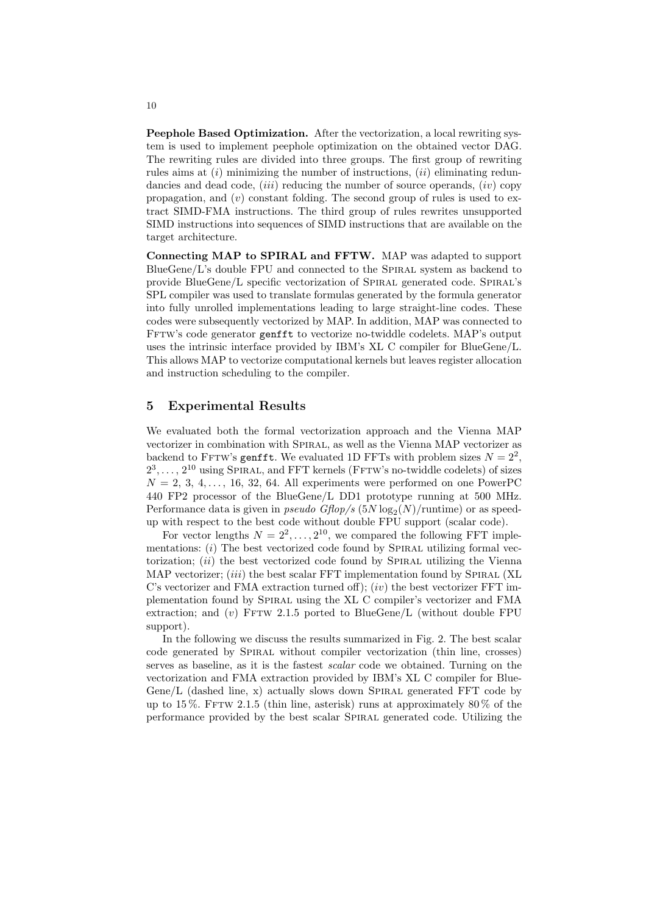Peephole Based Optimization. After the vectorization, a local rewriting system is used to implement peephole optimization on the obtained vector DAG. The rewriting rules are divided into three groups. The first group of rewriting rules aims at  $(i)$  minimizing the number of instructions,  $(ii)$  eliminating redundancies and dead code, *(iii)* reducing the number of source operands, *(iv)* copy propagation, and  $(v)$  constant folding. The second group of rules is used to extract SIMD-FMA instructions. The third group of rules rewrites unsupported SIMD instructions into sequences of SIMD instructions that are available on the target architecture.

Connecting MAP to SPIRAL and FFTW. MAP was adapted to support BlueGene/L's double FPU and connected to the SPIRAL system as backend to provide BlueGene/L specific vectorization of Spiral generated code. Spiral's SPL compiler was used to translate formulas generated by the formula generator into fully unrolled implementations leading to large straight-line codes. These codes were subsequently vectorized by MAP. In addition, MAP was connected to Fftw's code generator genfft to vectorize no-twiddle codelets. MAP's output uses the intrinsic interface provided by IBM's XL C compiler for BlueGene/L. This allows MAP to vectorize computational kernels but leaves register allocation and instruction scheduling to the compiler.

## 5 Experimental Results

We evaluated both the formal vectorization approach and the Vienna MAP vectorizer in combination with SPIRAL, as well as the Vienna MAP vectorizer as backend to FFTW's genfft. We evaluated 1D FFTs with problem sizes  $N = 2^2$ ,  $2^3, \ldots, 2^{10}$  using SPIRAL, and FFT kernels (FFTW's no-twiddle codelets) of sizes  $N = 2, 3, 4, \ldots, 16, 32, 64$ . All experiments were performed on one PowerPC 440 FP2 processor of the BlueGene/L DD1 prototype running at 500 MHz. Performance data is given in *pseudo Gflop/s*  $(5N \log_2(N)/\text{runtime})$  or as speedup with respect to the best code without double FPU support (scalar code).

For vector lengths  $N = 2^2, \ldots, 2^{10}$ , we compared the following FFT implementations:  $(i)$  The best vectorized code found by SPIRAL utilizing formal vectorization;  $(ii)$  the best vectorized code found by SPIRAL utilizing the Vienna MAP vectorizer;  $(iii)$  the best scalar FFT implementation found by SPIRAL (XL C's vectorizer and FMA extraction turned off);  $(iv)$  the best vectorizer FFT implementation found by Spiral using the XL C compiler's vectorizer and FMA extraction; and (v) FFTW 2.1.5 ported to BlueGene/L (without double FPU support).

In the following we discuss the results summarized in Fig. 2. The best scalar code generated by Spiral without compiler vectorization (thin line, crosses) serves as baseline, as it is the fastest scalar code we obtained. Turning on the vectorization and FMA extraction provided by IBM's XL C compiler for Blue-Gene/L (dashed line, x) actually slows down SPIRAL generated FFT code by up to 15 %. FFTW 2.1.5 (thin line, asterisk) runs at approximately  $80\%$  of the performance provided by the best scalar Spiral generated code. Utilizing the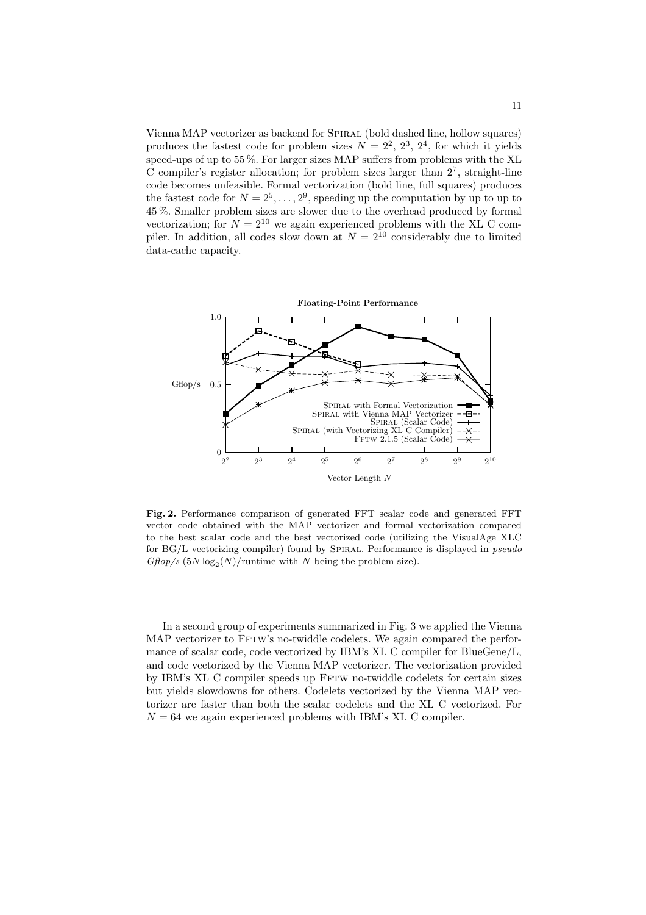Vienna MAP vectorizer as backend for Spiral (bold dashed line, hollow squares) produces the fastest code for problem sizes  $N = 2^2, 2^3, 2^4$ , for which it yields speed-ups of up to 55 %. For larger sizes MAP suffers from problems with the XL C compiler's register allocation; for problem sizes larger than  $2^7$ , straight-line code becomes unfeasible. Formal vectorization (bold line, full squares) produces the fastest code for  $N = 2^5, \ldots, 2^9$ , speeding up the computation by up to up to 45 %. Smaller problem sizes are slower due to the overhead produced by formal vectorization; for  $N = 2^{10}$  we again experienced problems with the XL C compiler. In addition, all codes slow down at  $N = 2^{10}$  considerably due to limited data-cache capacity.



Fig. 2. Performance comparison of generated FFT scalar code and generated FFT vector code obtained with the MAP vectorizer and formal vectorization compared to the best scalar code and the best vectorized code (utilizing the VisualAge XLC for BG/L vectorizing compiler) found by SPIRAL. Performance is displayed in *pseudo*  $Gflop/s$  (5N  $log_2(N)/$ runtime with N being the problem size).

In a second group of experiments summarized in Fig. 3 we applied the Vienna MAP vectorizer to FFTW's no-twiddle codelets. We again compared the performance of scalar code, code vectorized by IBM's XL C compiler for BlueGene/L, and code vectorized by the Vienna MAP vectorizer. The vectorization provided by IBM's XL C compiler speeds up FFTW no-twiddle codelets for certain sizes but yields slowdowns for others. Codelets vectorized by the Vienna MAP vectorizer are faster than both the scalar codelets and the XL C vectorized. For  $N = 64$  we again experienced problems with IBM's XL C compiler.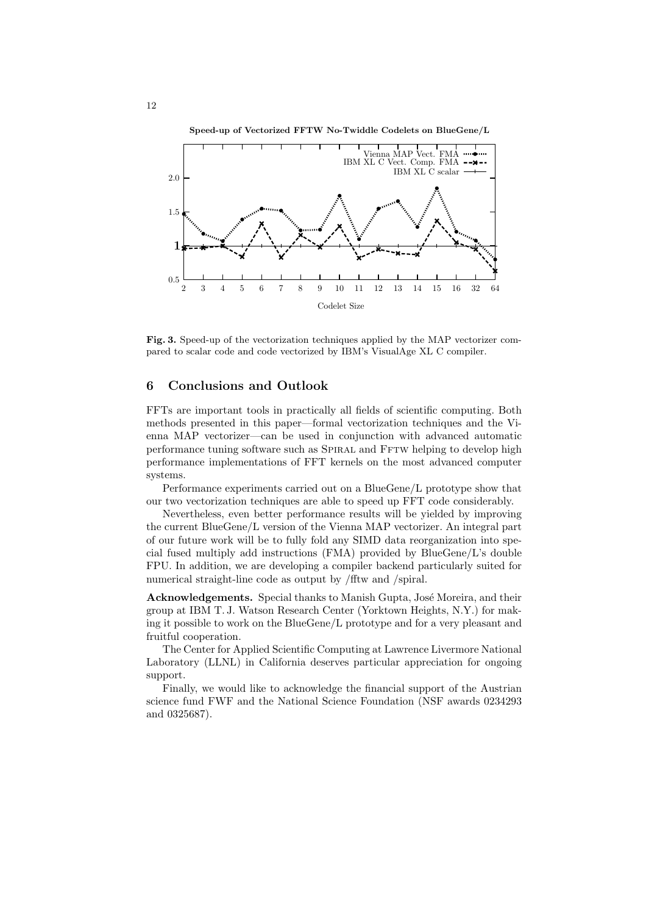Speed-up of Vectorized FFTW No-Twiddle Codelets on BlueGene/L



Fig. 3. Speed-up of the vectorization techniques applied by the MAP vectorizer compared to scalar code and code vectorized by IBM's VisualAge XL C compiler.

# 6 Conclusions and Outlook

FFTs are important tools in practically all fields of scientific computing. Both methods presented in this paper—formal vectorization techniques and the Vienna MAP vectorizer—can be used in conjunction with advanced automatic performance tuning software such as Spiral and Fftw helping to develop high performance implementations of FFT kernels on the most advanced computer systems.

Performance experiments carried out on a BlueGene/L prototype show that our two vectorization techniques are able to speed up FFT code considerably.

Nevertheless, even better performance results will be yielded by improving the current BlueGene/L version of the Vienna MAP vectorizer. An integral part of our future work will be to fully fold any SIMD data reorganization into special fused multiply add instructions (FMA) provided by BlueGene/L's double FPU. In addition, we are developing a compiler backend particularly suited for numerical straight-line code as output by /fftw and /spiral.

Acknowledgements. Special thanks to Manish Gupta, José Moreira, and their group at IBM T. J. Watson Research Center (Yorktown Heights, N.Y.) for making it possible to work on the BlueGene/L prototype and for a very pleasant and fruitful cooperation.

The Center for Applied Scientific Computing at Lawrence Livermore National Laboratory (LLNL) in California deserves particular appreciation for ongoing support.

Finally, we would like to acknowledge the financial support of the Austrian science fund FWF and the National Science Foundation (NSF awards 0234293 and 0325687).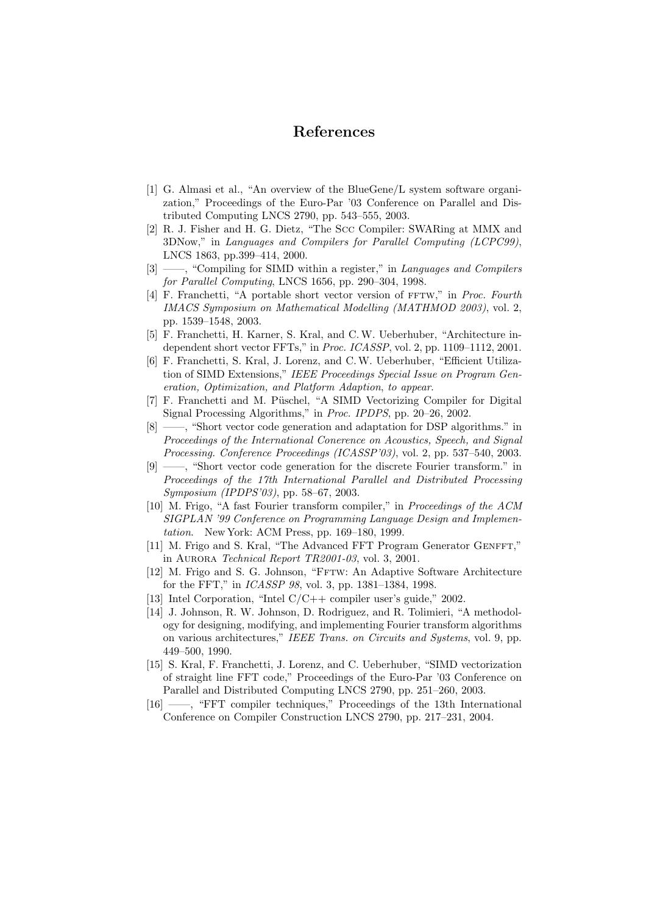# References

- [1] G. Almasi et al., "An overview of the BlueGene/L system software organization," Proceedings of the Euro-Par '03 Conference on Parallel and Distributed Computing LNCS 2790, pp. 543–555, 2003.
- [2] R. J. Fisher and H. G. Dietz, "The Scc Compiler: SWARing at MMX and 3DNow," in Languages and Compilers for Parallel Computing (LCPC99), LNCS 1863, pp.399–414, 2000.
- [3] ——, "Compiling for SIMD within a register," in Languages and Compilers for Parallel Computing, LNCS 1656, pp. 290–304, 1998.
- [4] F. Franchetti, "A portable short vector version of FFTW," in Proc. Fourth IMACS Symposium on Mathematical Modelling (MATHMOD 2003), vol. 2, pp. 1539–1548, 2003.
- [5] F. Franchetti, H. Karner, S. Kral, and C.W. Ueberhuber, "Architecture independent short vector FFTs," in Proc. ICASSP, vol. 2, pp. 1109–1112, 2001.
- [6] F. Franchetti, S. Kral, J. Lorenz, and C.W. Ueberhuber, "Efficient Utilization of SIMD Extensions," IEEE Proceedings Special Issue on Program Generation, Optimization, and Platform Adaption, to appear.
- [7] F. Franchetti and M. Püschel, "A SIMD Vectorizing Compiler for Digital Signal Processing Algorithms," in Proc. IPDPS, pp. 20–26, 2002.
- [8] ——, "Short vector code generation and adaptation for DSP algorithms." in Proceedings of the International Conerence on Acoustics, Speech, and Signal Processing. Conference Proceedings (ICASSP'03), vol. 2, pp. 537–540, 2003.
- [9] ——, "Short vector code generation for the discrete Fourier transform." in Proceedings of the 17th International Parallel and Distributed Processing Symposium (IPDPS'03), pp. 58–67, 2003.
- [10] M. Frigo, "A fast Fourier transform compiler," in Proceedings of the ACM SIGPLAN '99 Conference on Programming Language Design and Implementation. New York: ACM Press, pp. 169–180, 1999.
- [11] M. Frigo and S. Kral, "The Advanced FFT Program Generator GENFFT," in Aurora Technical Report TR2001-03, vol. 3, 2001.
- [12] M. Frigo and S. G. Johnson, "FFTW: An Adaptive Software Architecture for the FFT," in ICASSP 98, vol. 3, pp. 1381–1384, 1998.
- [13] Intel Corporation, "Intel C/C++ compiler user's guide," 2002.
- [14] J. Johnson, R. W. Johnson, D. Rodriguez, and R. Tolimieri, "A methodology for designing, modifying, and implementing Fourier transform algorithms on various architectures," IEEE Trans. on Circuits and Systems, vol. 9, pp. 449–500, 1990.
- [15] S. Kral, F. Franchetti, J. Lorenz, and C. Ueberhuber, "SIMD vectorization of straight line FFT code," Proceedings of the Euro-Par '03 Conference on Parallel and Distributed Computing LNCS 2790, pp. 251–260, 2003.
- [16] ——, "FFT compiler techniques," Proceedings of the 13th International Conference on Compiler Construction LNCS 2790, pp. 217–231, 2004.